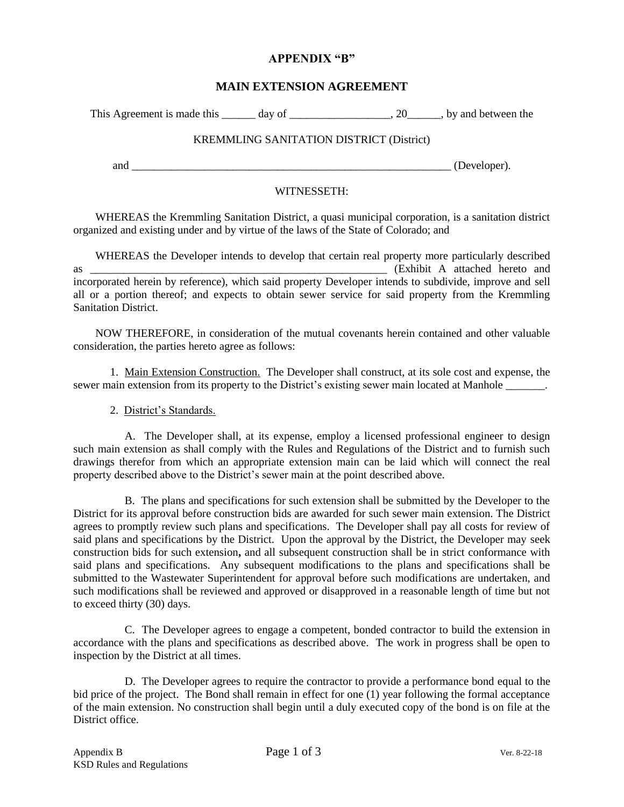# **APPENDIX "B"**

# **MAIN EXTENSION AGREEMENT**

This Agreement is made this day of the same can consider the set of the set of the set of the set of the set of the set of the set of the set of the set of the set of the set of the set of the set of the set of the set of

## KREMMLING SANITATION DISTRICT (District)

and \_\_\_\_\_\_\_\_\_\_\_\_\_\_\_\_\_\_\_\_\_\_\_\_\_\_\_\_\_\_\_\_\_\_\_\_\_\_\_\_\_\_\_\_\_\_\_\_\_\_\_\_\_\_\_\_\_ (Developer).

# WITNESSETH:

WHEREAS the Kremmling Sanitation District, a quasi municipal corporation, is a sanitation district organized and existing under and by virtue of the laws of the State of Colorado; and

WHEREAS the Developer intends to develop that certain real property more particularly described as \_\_\_\_\_\_\_\_\_\_\_\_\_\_\_\_\_\_\_\_\_\_\_\_\_\_\_\_\_\_\_\_\_\_\_\_\_\_\_\_\_\_\_\_\_\_\_\_\_\_\_\_\_ (Exhibit A attached hereto and incorporated herein by reference), which said property Developer intends to subdivide, improve and sell all or a portion thereof; and expects to obtain sewer service for said property from the Kremmling Sanitation District.

NOW THEREFORE, in consideration of the mutual covenants herein contained and other valuable consideration, the parties hereto agree as follows:

1. Main Extension Construction. The Developer shall construct, at its sole cost and expense, the sewer main extension from its property to the District's existing sewer main located at Manhole

#### 2. District's Standards.

A. The Developer shall, at its expense, employ a licensed professional engineer to design such main extension as shall comply with the Rules and Regulations of the District and to furnish such drawings therefor from which an appropriate extension main can be laid which will connect the real property described above to the District's sewer main at the point described above.

B. The plans and specifications for such extension shall be submitted by the Developer to the District for its approval before construction bids are awarded for such sewer main extension. The District agrees to promptly review such plans and specifications. The Developer shall pay all costs for review of said plans and specifications by the District. Upon the approval by the District, the Developer may seek construction bids for such extension**,** and all subsequent construction shall be in strict conformance with said plans and specifications. Any subsequent modifications to the plans and specifications shall be submitted to the Wastewater Superintendent for approval before such modifications are undertaken, and such modifications shall be reviewed and approved or disapproved in a reasonable length of time but not to exceed thirty (30) days.

C. The Developer agrees to engage a competent, bonded contractor to build the extension in accordance with the plans and specifications as described above. The work in progress shall be open to inspection by the District at all times.

D. The Developer agrees to require the contractor to provide a performance bond equal to the bid price of the project. The Bond shall remain in effect for one (1) year following the formal acceptance of the main extension. No construction shall begin until a duly executed copy of the bond is on file at the District office.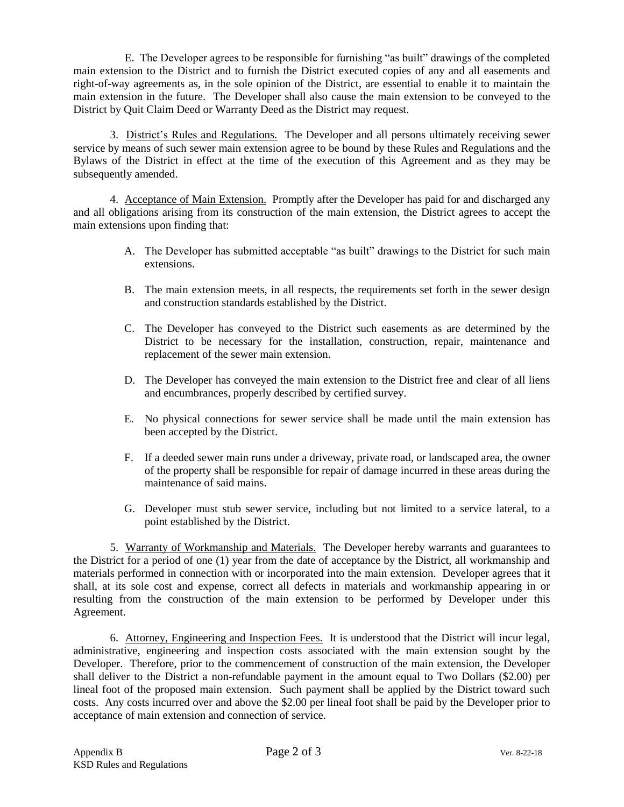E. The Developer agrees to be responsible for furnishing "as built" drawings of the completed main extension to the District and to furnish the District executed copies of any and all easements and right-of-way agreements as, in the sole opinion of the District, are essential to enable it to maintain the main extension in the future. The Developer shall also cause the main extension to be conveyed to the District by Quit Claim Deed or Warranty Deed as the District may request.

3. District's Rules and Regulations. The Developer and all persons ultimately receiving sewer service by means of such sewer main extension agree to be bound by these Rules and Regulations and the Bylaws of the District in effect at the time of the execution of this Agreement and as they may be subsequently amended.

4. Acceptance of Main Extension. Promptly after the Developer has paid for and discharged any and all obligations arising from its construction of the main extension, the District agrees to accept the main extensions upon finding that:

- A. The Developer has submitted acceptable "as built" drawings to the District for such main extensions.
- B. The main extension meets, in all respects, the requirements set forth in the sewer design and construction standards established by the District.
- C. The Developer has conveyed to the District such easements as are determined by the District to be necessary for the installation, construction, repair, maintenance and replacement of the sewer main extension.
- D. The Developer has conveyed the main extension to the District free and clear of all liens and encumbrances, properly described by certified survey.
- E. No physical connections for sewer service shall be made until the main extension has been accepted by the District.
- F. If a deeded sewer main runs under a driveway, private road, or landscaped area, the owner of the property shall be responsible for repair of damage incurred in these areas during the maintenance of said mains.
- G. Developer must stub sewer service, including but not limited to a service lateral, to a point established by the District.

5. Warranty of Workmanship and Materials. The Developer hereby warrants and guarantees to the District for a period of one (1) year from the date of acceptance by the District, all workmanship and materials performed in connection with or incorporated into the main extension. Developer agrees that it shall, at its sole cost and expense, correct all defects in materials and workmanship appearing in or resulting from the construction of the main extension to be performed by Developer under this Agreement.

6. Attorney, Engineering and Inspection Fees. It is understood that the District will incur legal, administrative, engineering and inspection costs associated with the main extension sought by the Developer. Therefore, prior to the commencement of construction of the main extension, the Developer shall deliver to the District a non-refundable payment in the amount equal to Two Dollars (\$2.00) per lineal foot of the proposed main extension. Such payment shall be applied by the District toward such costs. Any costs incurred over and above the \$2.00 per lineal foot shall be paid by the Developer prior to acceptance of main extension and connection of service.